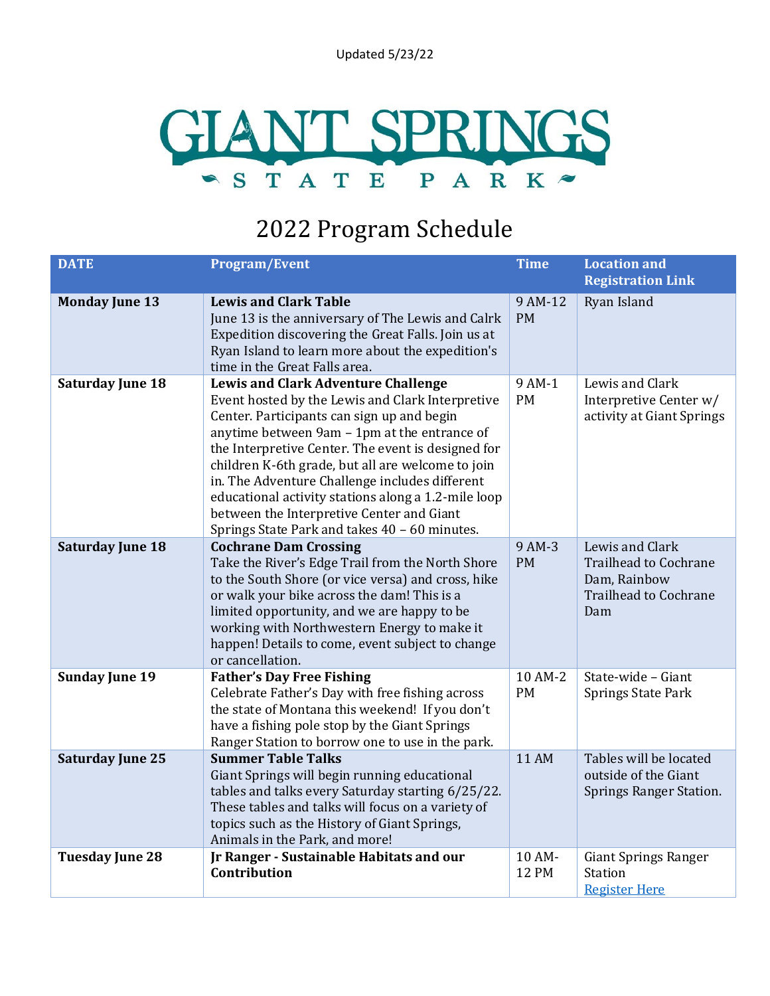

## 2022 Program Schedule

| <b>DATE</b>             | <b>Program/Event</b>                                                                                                                                                                                                                                                                                                                                                                                                                                                                                           | <b>Time</b>            | <b>Location and</b><br><b>Registration Link</b>                                                        |
|-------------------------|----------------------------------------------------------------------------------------------------------------------------------------------------------------------------------------------------------------------------------------------------------------------------------------------------------------------------------------------------------------------------------------------------------------------------------------------------------------------------------------------------------------|------------------------|--------------------------------------------------------------------------------------------------------|
| <b>Monday June 13</b>   | <b>Lewis and Clark Table</b><br>June 13 is the anniversary of The Lewis and Calrk<br>Expedition discovering the Great Falls. Join us at<br>Ryan Island to learn more about the expedition's<br>time in the Great Falls area.                                                                                                                                                                                                                                                                                   | 9 AM-12<br><b>PM</b>   | Ryan Island                                                                                            |
| <b>Saturday June 18</b> | <b>Lewis and Clark Adventure Challenge</b><br>Event hosted by the Lewis and Clark Interpretive<br>Center. Participants can sign up and begin<br>anytime between 9am - 1pm at the entrance of<br>the Interpretive Center. The event is designed for<br>children K-6th grade, but all are welcome to join<br>in. The Adventure Challenge includes different<br>educational activity stations along a 1.2-mile loop<br>between the Interpretive Center and Giant<br>Springs State Park and takes 40 - 60 minutes. | 9 AM-1<br><b>PM</b>    | Lewis and Clark<br>Interpretive Center w/<br>activity at Giant Springs                                 |
| <b>Saturday June 18</b> | <b>Cochrane Dam Crossing</b><br>Take the River's Edge Trail from the North Shore<br>to the South Shore (or vice versa) and cross, hike<br>or walk your bike across the dam! This is a<br>limited opportunity, and we are happy to be<br>working with Northwestern Energy to make it<br>happen! Details to come, event subject to change<br>or cancellation.                                                                                                                                                    | 9 AM-3<br><b>PM</b>    | Lewis and Clark<br><b>Trailhead to Cochrane</b><br>Dam, Rainbow<br><b>Trailhead to Cochrane</b><br>Dam |
| <b>Sunday June 19</b>   | <b>Father's Day Free Fishing</b><br>Celebrate Father's Day with free fishing across<br>the state of Montana this weekend! If you don't<br>have a fishing pole stop by the Giant Springs<br>Ranger Station to borrow one to use in the park.                                                                                                                                                                                                                                                                    | 10 AM-2<br><b>PM</b>   | State-wide - Giant<br><b>Springs State Park</b>                                                        |
| <b>Saturday June 25</b> | <b>Summer Table Talks</b><br>Giant Springs will begin running educational<br>tables and talks every Saturday starting 6/25/22.<br>These tables and talks will focus on a variety of<br>topics such as the History of Giant Springs,<br>Animals in the Park, and more!                                                                                                                                                                                                                                          | <b>11 AM</b>           | Tables will be located<br>outside of the Giant<br>Springs Ranger Station.                              |
| <b>Tuesday June 28</b>  | <b>Jr Ranger - Sustainable Habitats and our</b><br>Contribution                                                                                                                                                                                                                                                                                                                                                                                                                                                | 10 AM-<br><b>12 PM</b> | <b>Giant Springs Ranger</b><br><b>Station</b><br><b>Register Here</b>                                  |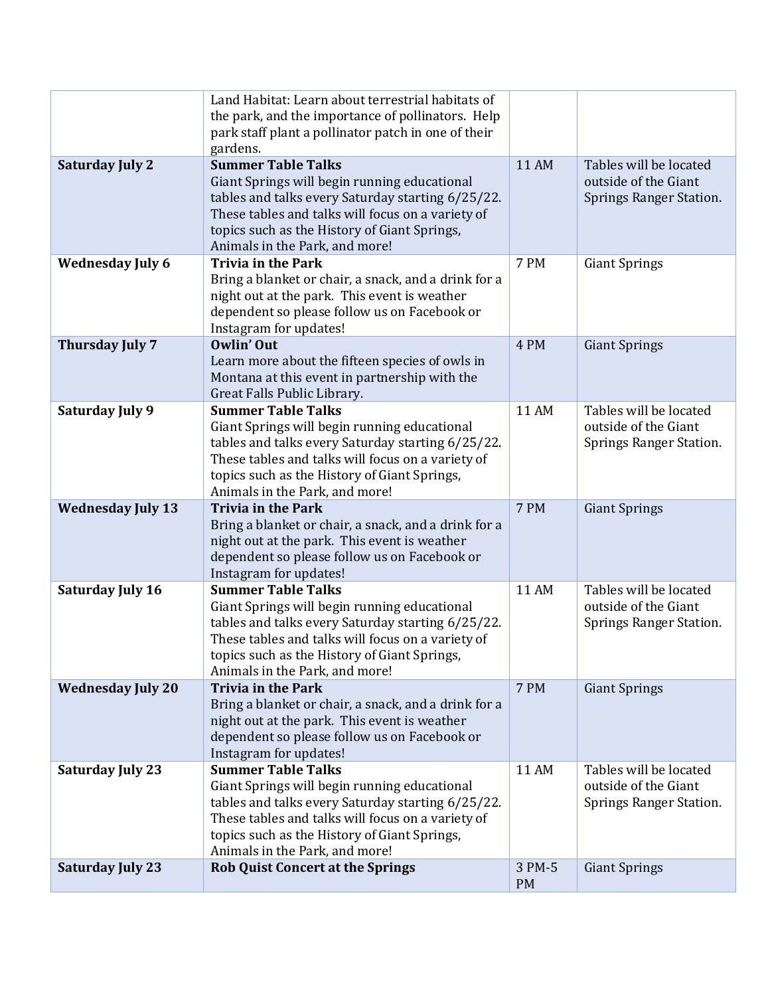|                          | Land Habitat: Learn about terrestrial habitats of<br>the park, and the importance of pollinators. Help<br>park staff plant a pollinator patch in one of their<br>gardens.                                                                                             |                     |                                                                                  |
|--------------------------|-----------------------------------------------------------------------------------------------------------------------------------------------------------------------------------------------------------------------------------------------------------------------|---------------------|----------------------------------------------------------------------------------|
| <b>Saturday July 2</b>   | <b>Summer Table Talks</b><br>Giant Springs will begin running educational<br>tables and talks every Saturday starting 6/25/22.<br>These tables and talks will focus on a variety of<br>topics such as the History of Giant Springs,<br>Animals in the Park, and more! | <b>11 AM</b>        | Tables will be located<br>outside of the Giant<br><b>Springs Ranger Station.</b> |
| <b>Wednesday July 6</b>  | <b>Trivia in the Park</b><br>Bring a blanket or chair, a snack, and a drink for a<br>night out at the park. This event is weather<br>dependent so please follow us on Facebook or<br>Instagram for updates!                                                           | <b>7 PM</b>         | <b>Giant Springs</b>                                                             |
| <b>Thursday July 7</b>   | Owlin' Out<br>Learn more about the fifteen species of owls in<br>Montana at this event in partnership with the<br>Great Falls Public Library.                                                                                                                         | 4 PM                | <b>Giant Springs</b>                                                             |
| <b>Saturday July 9</b>   | <b>Summer Table Talks</b><br>Giant Springs will begin running educational<br>tables and talks every Saturday starting 6/25/22.<br>These tables and talks will focus on a variety of<br>topics such as the History of Giant Springs,<br>Animals in the Park, and more! | <b>11 AM</b>        | Tables will be located<br>outside of the Giant<br>Springs Ranger Station.        |
| <b>Wednesday July 13</b> | <b>Trivia in the Park</b><br>Bring a blanket or chair, a snack, and a drink for a<br>night out at the park. This event is weather<br>dependent so please follow us on Facebook or<br>Instagram for updates!                                                           | <b>7 PM</b>         | <b>Giant Springs</b>                                                             |
| <b>Saturday July 16</b>  | <b>Summer Table Talks</b><br>Giant Springs will begin running educational<br>tables and talks every Saturday starting 6/25/22.<br>These tables and talks will focus on a variety of<br>topics such as the History of Giant Springs,<br>Animals in the Park, and more! | <b>11 AM</b>        | Tables will be located<br>outside of the Giant<br>Springs Ranger Station.        |
| <b>Wednesday July 20</b> | <b>Trivia in the Park</b><br>Bring a blanket or chair, a snack, and a drink for a<br>night out at the park. This event is weather<br>dependent so please follow us on Facebook or<br>Instagram for updates!                                                           | <b>7 PM</b>         | <b>Giant Springs</b>                                                             |
| <b>Saturday July 23</b>  | <b>Summer Table Talks</b><br>Giant Springs will begin running educational<br>tables and talks every Saturday starting 6/25/22.<br>These tables and talks will focus on a variety of<br>topics such as the History of Giant Springs,<br>Animals in the Park, and more! | <b>11 AM</b>        | Tables will be located<br>outside of the Giant<br>Springs Ranger Station.        |
| <b>Saturday July 23</b>  | <b>Rob Quist Concert at the Springs</b>                                                                                                                                                                                                                               | 3 PM-5<br><b>PM</b> | <b>Giant Springs</b>                                                             |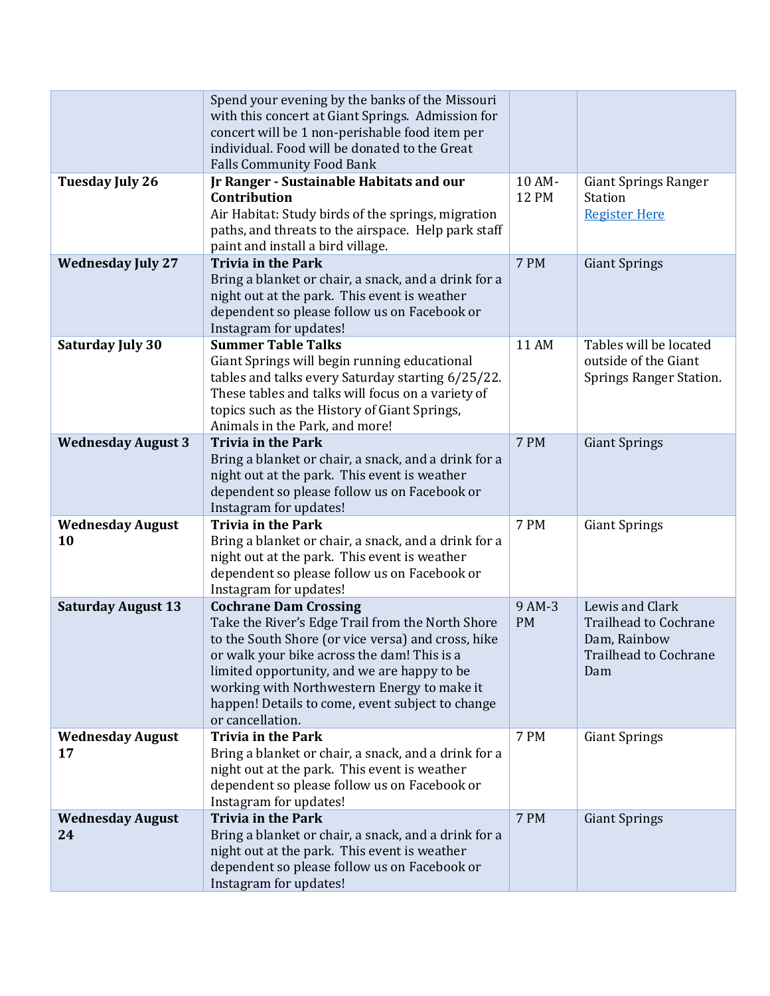|                               | Spend your evening by the banks of the Missouri<br>with this concert at Giant Springs. Admission for<br>concert will be 1 non-perishable food item per<br>individual. Food will be donated to the Great<br><b>Falls Community Food Bank</b>                                                                                                                 |                        |                                                                                                        |
|-------------------------------|-------------------------------------------------------------------------------------------------------------------------------------------------------------------------------------------------------------------------------------------------------------------------------------------------------------------------------------------------------------|------------------------|--------------------------------------------------------------------------------------------------------|
| <b>Tuesday July 26</b>        | Jr Ranger - Sustainable Habitats and our<br>Contribution<br>Air Habitat: Study birds of the springs, migration<br>paths, and threats to the airspace. Help park staff<br>paint and install a bird village.                                                                                                                                                  | 10 AM-<br><b>12 PM</b> | <b>Giant Springs Ranger</b><br><b>Station</b><br><b>Register Here</b>                                  |
| <b>Wednesday July 27</b>      | <b>Trivia in the Park</b><br>Bring a blanket or chair, a snack, and a drink for a<br>night out at the park. This event is weather<br>dependent so please follow us on Facebook or<br>Instagram for updates!                                                                                                                                                 | 7 PM                   | <b>Giant Springs</b>                                                                                   |
| <b>Saturday July 30</b>       | <b>Summer Table Talks</b><br>Giant Springs will begin running educational<br>tables and talks every Saturday starting 6/25/22.<br>These tables and talks will focus on a variety of<br>topics such as the History of Giant Springs,<br>Animals in the Park, and more!                                                                                       | <b>11 AM</b>           | Tables will be located<br>outside of the Giant<br>Springs Ranger Station.                              |
| <b>Wednesday August 3</b>     | <b>Trivia in the Park</b><br>Bring a blanket or chair, a snack, and a drink for a<br>night out at the park. This event is weather<br>dependent so please follow us on Facebook or<br>Instagram for updates!                                                                                                                                                 | 7 PM                   | <b>Giant Springs</b>                                                                                   |
| <b>Wednesday August</b><br>10 | <b>Trivia in the Park</b><br>Bring a blanket or chair, a snack, and a drink for a<br>night out at the park. This event is weather<br>dependent so please follow us on Facebook or<br>Instagram for updates!                                                                                                                                                 | 7 PM                   | <b>Giant Springs</b>                                                                                   |
| <b>Saturday August 13</b>     | <b>Cochrane Dam Crossing</b><br>Take the River's Edge Trail from the North Shore<br>to the South Shore (or vice versa) and cross, hike<br>or walk your bike across the dam! This is a<br>limited opportunity, and we are happy to be<br>working with Northwestern Energy to make it<br>happen! Details to come, event subject to change<br>or cancellation. | 9 AM-3<br><b>PM</b>    | Lewis and Clark<br><b>Trailhead to Cochrane</b><br>Dam, Rainbow<br><b>Trailhead to Cochrane</b><br>Dam |
| <b>Wednesday August</b><br>17 | <b>Trivia in the Park</b><br>Bring a blanket or chair, a snack, and a drink for a<br>night out at the park. This event is weather<br>dependent so please follow us on Facebook or<br>Instagram for updates!                                                                                                                                                 | 7 PM                   | <b>Giant Springs</b>                                                                                   |
| <b>Wednesday August</b><br>24 | <b>Trivia in the Park</b><br>Bring a blanket or chair, a snack, and a drink for a<br>night out at the park. This event is weather<br>dependent so please follow us on Facebook or<br>Instagram for updates!                                                                                                                                                 | <b>7 PM</b>            | <b>Giant Springs</b>                                                                                   |